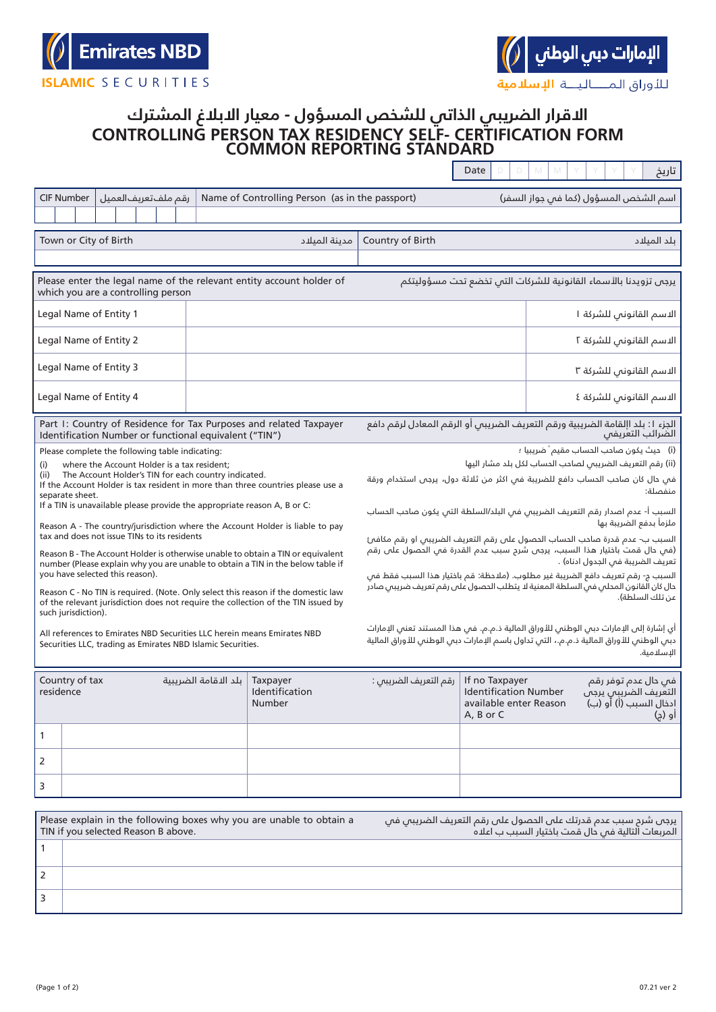## **CONTROLLING PERSON TAX RESIDENCY SELF- CERTIFICATION FORM COMMON REPORTING STANDARD االقرار الضريبي الذاتي للشخص المسؤول - معيار االبالغ المشترك**

|                                                                                                                                                                                                                                    |                     |                                              |  |  |                                                             |                                                                                                                                                                        |                                                                                                                                                                                              | Dale |  | ⊔ریح                                                                            |  |
|------------------------------------------------------------------------------------------------------------------------------------------------------------------------------------------------------------------------------------|---------------------|----------------------------------------------|--|--|-------------------------------------------------------------|------------------------------------------------------------------------------------------------------------------------------------------------------------------------|----------------------------------------------------------------------------------------------------------------------------------------------------------------------------------------------|------|--|---------------------------------------------------------------------------------|--|
|                                                                                                                                                                                                                                    | <b>CIF Number</b>   | رقم ملف تعريف العميل                         |  |  |                                                             |                                                                                                                                                                        | Name of Controlling Person (as in the passport)                                                                                                                                              |      |  | اسم الشخص المسؤول (كما فس جواز السفر)                                           |  |
|                                                                                                                                                                                                                                    |                     |                                              |  |  |                                                             |                                                                                                                                                                        |                                                                                                                                                                                              |      |  |                                                                                 |  |
|                                                                                                                                                                                                                                    |                     | Town or City of Birth                        |  |  |                                                             | مدىنة المىلاد                                                                                                                                                          | Country of Birth                                                                                                                                                                             |      |  | بلد الميلاد                                                                     |  |
|                                                                                                                                                                                                                                    |                     | which you are a controlling person           |  |  |                                                             | Please enter the legal name of the relevant entity account holder of                                                                                                   | يرجى تزويدنا بالأسماء القانونية للشركات التى تخضع تحت مسؤوليتكم                                                                                                                              |      |  |                                                                                 |  |
|                                                                                                                                                                                                                                    |                     | Legal Name of Entity 1                       |  |  |                                                             |                                                                                                                                                                        |                                                                                                                                                                                              |      |  | الاسم القانونى للشركة ا                                                         |  |
|                                                                                                                                                                                                                                    |                     | Legal Name of Entity 2                       |  |  |                                                             |                                                                                                                                                                        |                                                                                                                                                                                              |      |  | الاسم القانوني للشركة ٢                                                         |  |
|                                                                                                                                                                                                                                    |                     | Legal Name of Entity 3                       |  |  |                                                             |                                                                                                                                                                        |                                                                                                                                                                                              |      |  | الاسم القانونس للشركة ٣                                                         |  |
| Legal Name of Entity 4                                                                                                                                                                                                             |                     |                                              |  |  |                                                             |                                                                                                                                                                        |                                                                                                                                                                                              |      |  | الاسم القانوني للشركة ٤                                                         |  |
|                                                                                                                                                                                                                                    |                     |                                              |  |  | Identification Number or functional equivalent ("TIN")      | Part I: Country of Residence for Tax Purposes and related Taxpayer                                                                                                     | الجزء ١: بلد اإلقامة الضريبية ورقم التعريف الضريبس أو الرقم المعادل لرقم دافع<br>الضرائب التعريفى                                                                                            |      |  |                                                                                 |  |
|                                                                                                                                                                                                                                    |                     |                                              |  |  | Please complete the following table indicating:             |                                                                                                                                                                        | (i) حيث يكون صاحب الحساب مقيم <sup>"</sup> ضريبيا ؛                                                                                                                                          |      |  |                                                                                 |  |
| (i)                                                                                                                                                                                                                                |                     |                                              |  |  | where the Account Holder is a tax resident;                 |                                                                                                                                                                        | (ii) رقم التعريف الضريبص لصاحب الحساب لكل بلد مشار اليها                                                                                                                                     |      |  |                                                                                 |  |
| (ii)                                                                                                                                                                                                                               | separate sheet.     |                                              |  |  | The Account Holder's TIN for each country indicated.        | If the Account Holder is tax resident in more than three countries please use a                                                                                        | في حال كان صاحب الحساب دافع للضريبة في اكثر من ثلاثة دول، يرجى استخدام ورقة<br>منفصلة:                                                                                                       |      |  |                                                                                 |  |
| If a TIN is unavailable please provide the appropriate reason A, B or C:                                                                                                                                                           |                     |                                              |  |  |                                                             |                                                                                                                                                                        | السبب أ- عدم اصدار رقم التعريف الضريبي فىي البلد/السلطة التى يكون صاحب الحساب<br>ملزمأ بدفع الضريبة بها                                                                                      |      |  |                                                                                 |  |
|                                                                                                                                                                                                                                    |                     | tax and does not issue TINs to its residents |  |  |                                                             | Reason A - The country/jurisdiction where the Account Holder is liable to pay                                                                                          | السبب ب- عدم قدرة صاحب الحساب الحصول على رقم التعريف الضريبي او رقم مكافىئ                                                                                                                   |      |  |                                                                                 |  |
|                                                                                                                                                                                                                                    |                     |                                              |  |  |                                                             | Reason B - The Account Holder is otherwise unable to obtain a TIN or equivalent<br>number (Please explain why you are unable to obtain a TIN in the below table if     | (في حال قمت باختيار هذا السبب، يرجى شرح سبب عدم القدرة في الحصول على رقم<br>تعريف الضريبة فم الجدول ادناه) .                                                                                 |      |  |                                                                                 |  |
|                                                                                                                                                                                                                                    |                     | you have selected this reason).              |  |  |                                                             |                                                                                                                                                                        | السبب ج- رقم تعريف دافع الضريبة غير مطلوب. (ملاحظة: قم باختيار هذا السبب فقط فم                                                                                                              |      |  |                                                                                 |  |
|                                                                                                                                                                                                                                    | such jurisdiction). |                                              |  |  |                                                             | Reason C - No TIN is required. (Note. Only select this reason if the domestic law<br>of the relevant jurisdiction does not require the collection of the TIN issued by | حال كان القانون المحلمى فمي السلطة المعنية لا يتطلب الحصول علم رقم تعريف ضريبمي صادر<br>عن تلك السلطة).                                                                                      |      |  |                                                                                 |  |
|                                                                                                                                                                                                                                    |                     |                                              |  |  |                                                             | All references to Emirates NBD Securities LLC herein means Emirates NBD                                                                                                | أي إشارة إلى الإمارات دبي الوطني للأوراق المالية ذ.م.م. في هذا المستند تعني الإمارات<br>دبس الوطنس للأوراق المالية ذ.م.م.، التس تداول باسم الإمارات دبس الوطنس للأوراق المالية<br>الإسلامية. |      |  |                                                                                 |  |
|                                                                                                                                                                                                                                    |                     |                                              |  |  | Securities LLC, trading as Emirates NBD Islamic Securities. |                                                                                                                                                                        |                                                                                                                                                                                              |      |  |                                                                                 |  |
| Country of tax<br>residence                                                                                                                                                                                                        |                     |                                              |  |  | يلد الاقامة الضربيبة                                        | Taxpayer<br>Identification<br>Number                                                                                                                                   | رقم التعريف الضريبى :<br>If no Taxpayer<br><b>Identification Number</b><br>available enter Reason<br>A, B or C                                                                               |      |  | فی حال عدم توفر رقم<br>التعريف الضريبى يرجى<br>ادخال السبب (أ) أو (ب)<br>أو (ج) |  |
| 1                                                                                                                                                                                                                                  |                     |                                              |  |  |                                                             |                                                                                                                                                                        |                                                                                                                                                                                              |      |  |                                                                                 |  |
| $\overline{2}$                                                                                                                                                                                                                     |                     |                                              |  |  |                                                             |                                                                                                                                                                        |                                                                                                                                                                                              |      |  |                                                                                 |  |
| 3                                                                                                                                                                                                                                  |                     |                                              |  |  |                                                             |                                                                                                                                                                        |                                                                                                                                                                                              |      |  |                                                                                 |  |
|                                                                                                                                                                                                                                    |                     |                                              |  |  |                                                             |                                                                                                                                                                        |                                                                                                                                                                                              |      |  |                                                                                 |  |
| Please explain in the following boxes why you are unable to obtain a<br>يرجص شرح سبب عدم قدرتك علىى الحصول علىى رقم التعريف الضريبي في<br>TIN if you selected Reason B above.<br>المربعات التالية فى حال قمت باختيار السبب ب اعلاه |                     |                                              |  |  |                                                             |                                                                                                                                                                        |                                                                                                                                                                                              |      |  |                                                                                 |  |
| 1                                                                                                                                                                                                                                  |                     |                                              |  |  |                                                             |                                                                                                                                                                        |                                                                                                                                                                                              |      |  |                                                                                 |  |
|                                                                                                                                                                                                                                    |                     |                                              |  |  |                                                             |                                                                                                                                                                        |                                                                                                                                                                                              |      |  |                                                                                 |  |

2 3